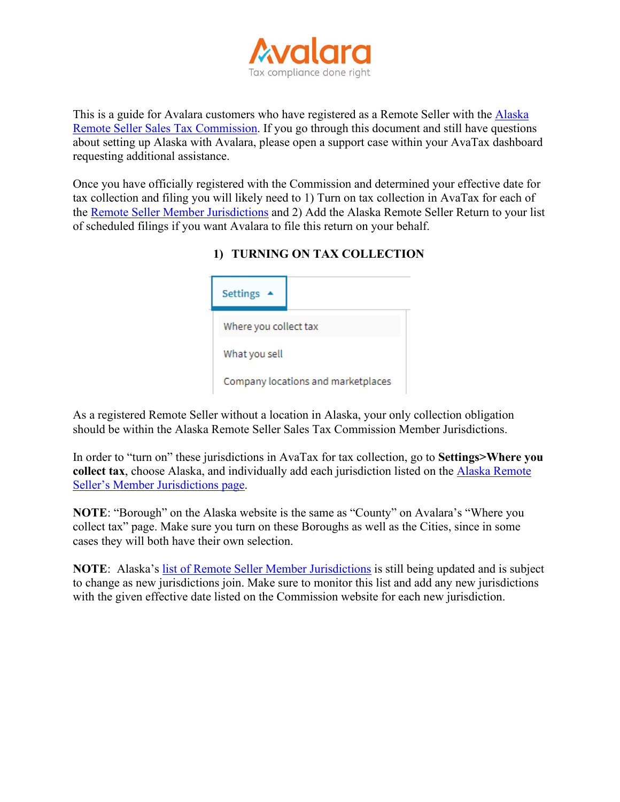

This is a guide for Avalara customers who have registered as a Remote Seller with the [Alaska](https://arsstc.munirevs.com/)  [Remote Seller Sales Tax Commission.](https://arsstc.munirevs.com/) If you go through this document and still have questions about setting up Alaska with Avalara, please open a support case within your AvaTax dashboard requesting additional assistance.

Once you have officially registered with the Commission and determined your effective date for tax collection and filing you will likely need to 1) Turn on tax collection in AvaTax for each of the [Remote Seller Member Jurisdictions](https://arsstc.org/business-sellers/member-jurisdictions/) and 2) Add the Alaska Remote Seller Return to your list of scheduled filings if you want Avalara to file this return on your behalf.

| <b>Settings</b>       |                                    |
|-----------------------|------------------------------------|
| Where you collect tax |                                    |
| What you sell         |                                    |
|                       | Company locations and marketplaces |

## **1) TURNING ON TAX COLLECTION**

As a registered Remote Seller without a location in Alaska, your only collection obligation should be within the Alaska Remote Seller Sales Tax Commission Member Jurisdictions.

In order to "turn on" these jurisdictions in AvaTax for tax collection, go to **Settings>Where you collect tax**, choose Alaska, and individually add each jurisdiction listed on the [Alaska Remote](https://arsstc.org/business-sellers/member-jurisdictions/)  [Seller's Member Jurisdictions page.](https://arsstc.org/business-sellers/member-jurisdictions/)

**NOTE**: "Borough" on the Alaska website is the same as "County" on Avalara's "Where you collect tax" page. Make sure you turn on these Boroughs as well as the Cities, since in some cases they will both have their own selection.

**NOTE**: Alaska's [list of Remote Seller Member Jurisdictions](https://arsstc.org/business-sellers/member-jurisdictions/) is still being updated and is subject to change as new jurisdictions join. Make sure to monitor this list and add any new jurisdictions with the given effective date listed on the Commission website for each new jurisdiction.